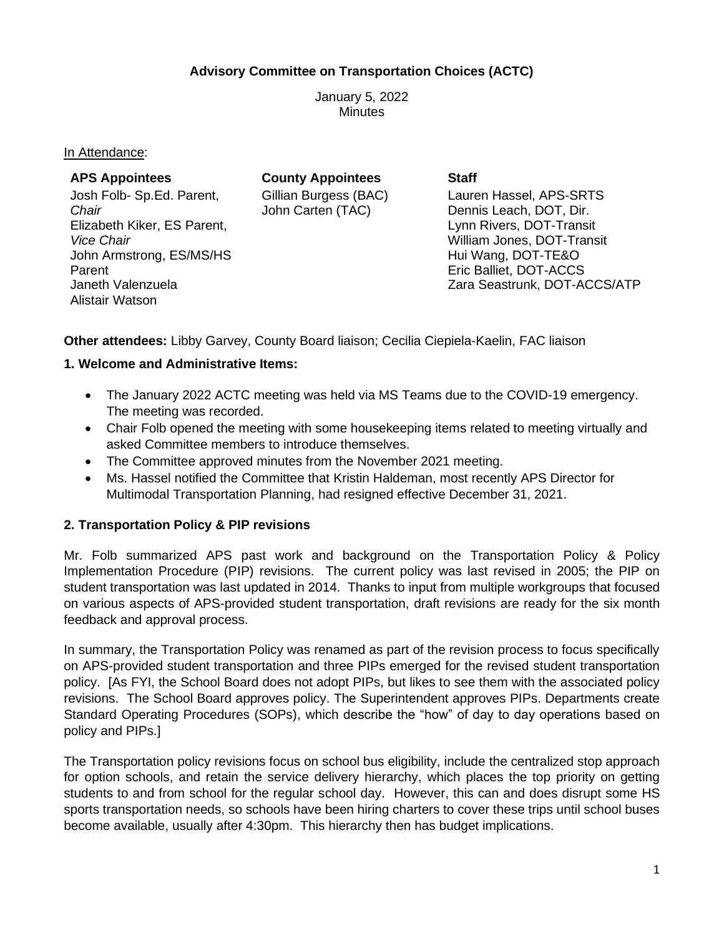#### **Advisory Committee on Transportation Choices (ACTC)**

January 5, 2022 Minutes

In Attendance:

| <b>APS Appointees</b>       | <b>County Appointees</b> | <b>Staff</b>                 |
|-----------------------------|--------------------------|------------------------------|
| Josh Folb- Sp.Ed. Parent,   | Gillian Burgess (BAC)    | Lauren Hassel, APS-SRTS      |
| Chair                       | John Carten (TAC)        | Dennis Leach, DOT, Dir.      |
| Elizabeth Kiker, ES Parent, |                          | Lynn Rivers, DOT-Transit     |
| <i><b>Vice Chair</b></i>    |                          | William Jones, DOT-Transit   |
| John Armstrong, ES/MS/HS    |                          | Hui Wang, DOT-TE&O           |
| Parent                      |                          | Eric Balliet, DOT-ACCS       |
| Janeth Valenzuela           |                          | Zara Seastrunk, DOT-ACCS/ATP |
| Alistair Watson             |                          |                              |

**Other attendees:** Libby Garvey, County Board liaison; Cecilia Ciepiela-Kaelin, FAC liaison

#### **1. Welcome and Administrative Items:**

- The January 2022 ACTC meeting was held via MS Teams due to the COVID-19 emergency. The meeting was recorded.
- Chair Folb opened the meeting with some housekeeping items related to meeting virtually and asked Committee members to introduce themselves.
- The Committee approved minutes from the November 2021 meeting.
- Ms. Hassel notified the Committee that Kristin Haldeman, most recently APS Director for Multimodal Transportation Planning, had resigned effective December 31, 2021.

#### **2. Transportation Policy & PIP revisions**

Mr. Folb summarized APS past work and background on the Transportation Policy & Policy Implementation Procedure (PIP) revisions. The current policy was last revised in 2005; the PIP on student transportation was last updated in 2014. Thanks to input from multiple workgroups that focused on various aspects of APS-provided student transportation, draft revisions are ready for the six month feedback and approval process.

In summary, the Transportation Policy was renamed as part of the revision process to focus specifically on APS-provided student transportation and three PIPs emerged for the revised student transportation policy. [As FYI, the School Board does not adopt PIPs, but likes to see them with the associated policy revisions. The School Board approves policy. The Superintendent approves PIPs. Departments create Standard Operating Procedures (SOPs), which describe the "how" of day to day operations based on policy and PIPs.]

The Transportation policy revisions focus on school bus eligibility, include the centralized stop approach for option schools, and retain the service delivery hierarchy, which places the top priority on getting students to and from school for the regular school day. However, this can and does disrupt some HS sports transportation needs, so schools have been hiring charters to cover these trips until school buses become available, usually after 4:30pm. This hierarchy then has budget implications.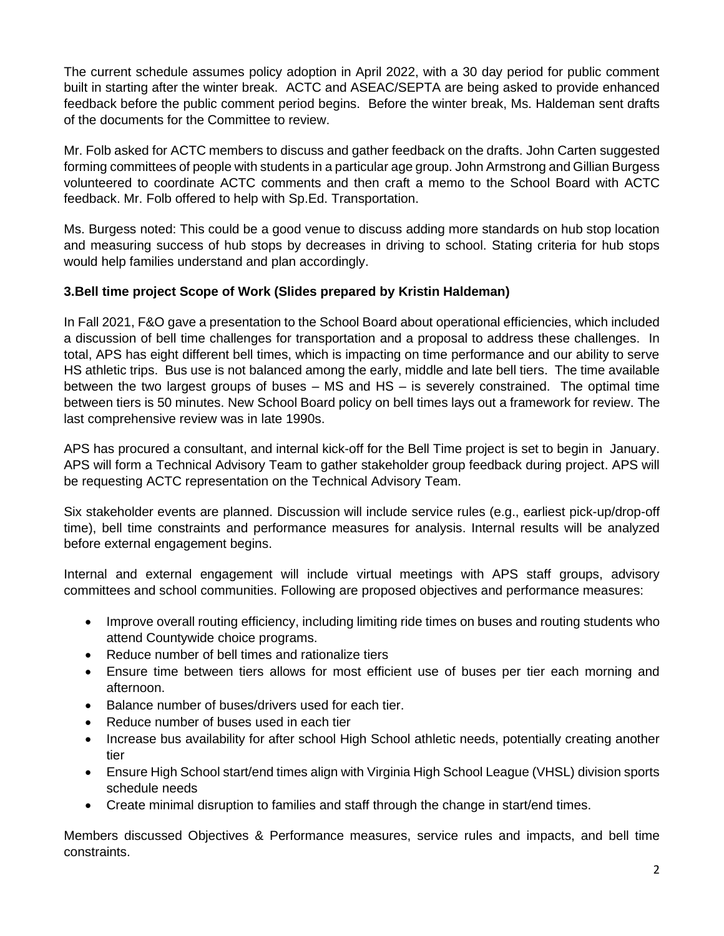The current schedule assumes policy adoption in April 2022, with a 30 day period for public comment built in starting after the winter break. ACTC and ASEAC/SEPTA are being asked to provide enhanced feedback before the public comment period begins. Before the winter break, Ms. Haldeman sent drafts of the documents for the Committee to review.

Mr. Folb asked for ACTC members to discuss and gather feedback on the drafts. John Carten suggested forming committees of people with students in a particular age group. John Armstrong and Gillian Burgess volunteered to coordinate ACTC comments and then craft a memo to the School Board with ACTC feedback. Mr. Folb offered to help with Sp.Ed. Transportation.

Ms. Burgess noted: This could be a good venue to discuss adding more standards on hub stop location and measuring success of hub stops by decreases in driving to school. Stating criteria for hub stops would help families understand and plan accordingly.

#### **3.Bell time project Scope of Work (Slides prepared by Kristin Haldeman)**

In Fall 2021, F&O gave a presentation to the School Board about operational efficiencies, which included a discussion of bell time challenges for transportation and a proposal to address these challenges. In total, APS has eight different bell times, which is impacting on time performance and our ability to serve HS athletic trips. Bus use is not balanced among the early, middle and late bell tiers. The time available between the two largest groups of buses – MS and HS – is severely constrained. The optimal time between tiers is 50 minutes. New School Board policy on bell times lays out a framework for review. The last comprehensive review was in late 1990s.

APS has procured a consultant, and internal kick-off for the Bell Time project is set to begin in January. APS will form a Technical Advisory Team to gather stakeholder group feedback during project. APS will be requesting ACTC representation on the Technical Advisory Team.

Six stakeholder events are planned. Discussion will include service rules (e.g., earliest pick-up/drop-off time), bell time constraints and performance measures for analysis. Internal results will be analyzed before external engagement begins.

Internal and external engagement will include virtual meetings with APS staff groups, advisory committees and school communities. Following are proposed objectives and performance measures:

- Improve overall routing efficiency, including limiting ride times on buses and routing students who attend Countywide choice programs.
- Reduce number of bell times and rationalize tiers
- Ensure time between tiers allows for most efficient use of buses per tier each morning and afternoon.
- Balance number of buses/drivers used for each tier.
- Reduce number of buses used in each tier
- Increase bus availability for after school High School athletic needs, potentially creating another tier
- Ensure High School start/end times align with Virginia High School League (VHSL) division sports schedule needs
- Create minimal disruption to families and staff through the change in start/end times.

Members discussed Objectives & Performance measures, service rules and impacts, and bell time constraints.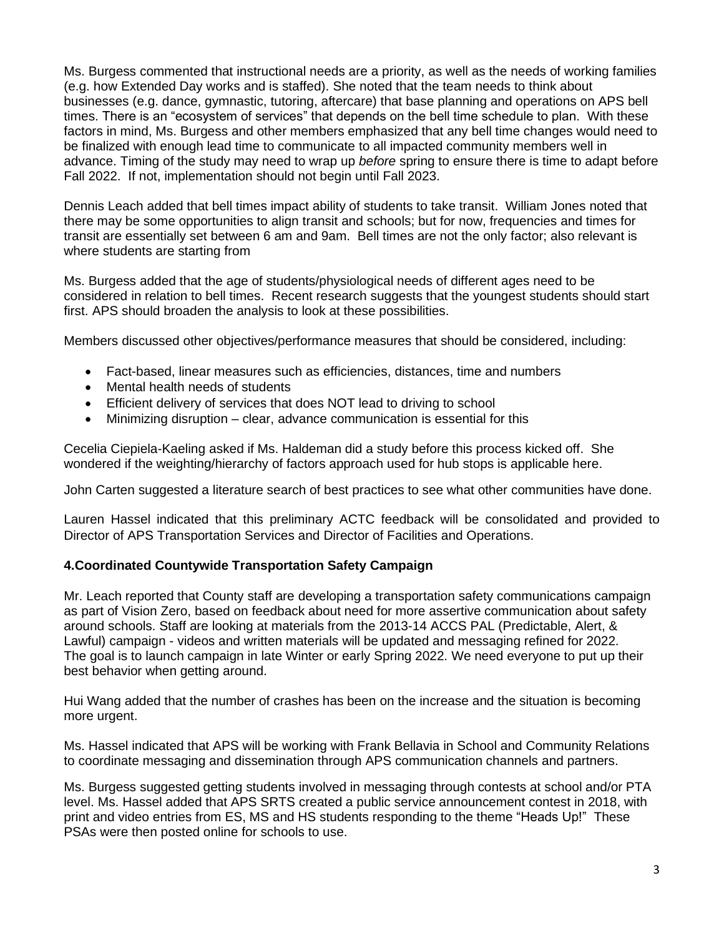Ms. Burgess commented that instructional needs are a priority, as well as the needs of working families (e.g. how Extended Day works and is staffed). She noted that the team needs to think about businesses (e.g. dance, gymnastic, tutoring, aftercare) that base planning and operations on APS bell times. There is an "ecosystem of services" that depends on the bell time schedule to plan. With these factors in mind, Ms. Burgess and other members emphasized that any bell time changes would need to be finalized with enough lead time to communicate to all impacted community members well in advance. Timing of the study may need to wrap up *before* spring to ensure there is time to adapt before Fall 2022. If not, implementation should not begin until Fall 2023.

Dennis Leach added that bell times impact ability of students to take transit. William Jones noted that there may be some opportunities to align transit and schools; but for now, frequencies and times for transit are essentially set between 6 am and 9am. Bell times are not the only factor; also relevant is where students are starting from

Ms. Burgess added that the age of students/physiological needs of different ages need to be considered in relation to bell times. Recent research suggests that the youngest students should start first. APS should broaden the analysis to look at these possibilities.

Members discussed other objectives/performance measures that should be considered, including:

- Fact-based, linear measures such as efficiencies, distances, time and numbers
- Mental health needs of students
- Efficient delivery of services that does NOT lead to driving to school
- Minimizing disruption clear, advance communication is essential for this

Cecelia Ciepiela-Kaeling asked if Ms. Haldeman did a study before this process kicked off. She wondered if the weighting/hierarchy of factors approach used for hub stops is applicable here.

John Carten suggested a literature search of best practices to see what other communities have done.

Lauren Hassel indicated that this preliminary ACTC feedback will be consolidated and provided to Director of APS Transportation Services and Director of Facilities and Operations.

#### **4.Coordinated Countywide Transportation Safety Campaign**

Mr. Leach reported that County staff are developing a transportation safety communications campaign as part of Vision Zero, based on feedback about need for more assertive communication about safety around schools. Staff are looking at materials from the 2013-14 ACCS PAL (Predictable, Alert, & Lawful) campaign - videos and written materials will be updated and messaging refined for 2022. The goal is to launch campaign in late Winter or early Spring 2022. We need everyone to put up their best behavior when getting around.

Hui Wang added that the number of crashes has been on the increase and the situation is becoming more urgent.

Ms. Hassel indicated that APS will be working with Frank Bellavia in School and Community Relations to coordinate messaging and dissemination through APS communication channels and partners.

Ms. Burgess suggested getting students involved in messaging through contests at school and/or PTA level. Ms. Hassel added that APS SRTS created a public service announcement contest in 2018, with print and video entries from ES, MS and HS students responding to the theme "Heads Up!" These PSAs were then posted online for schools to use.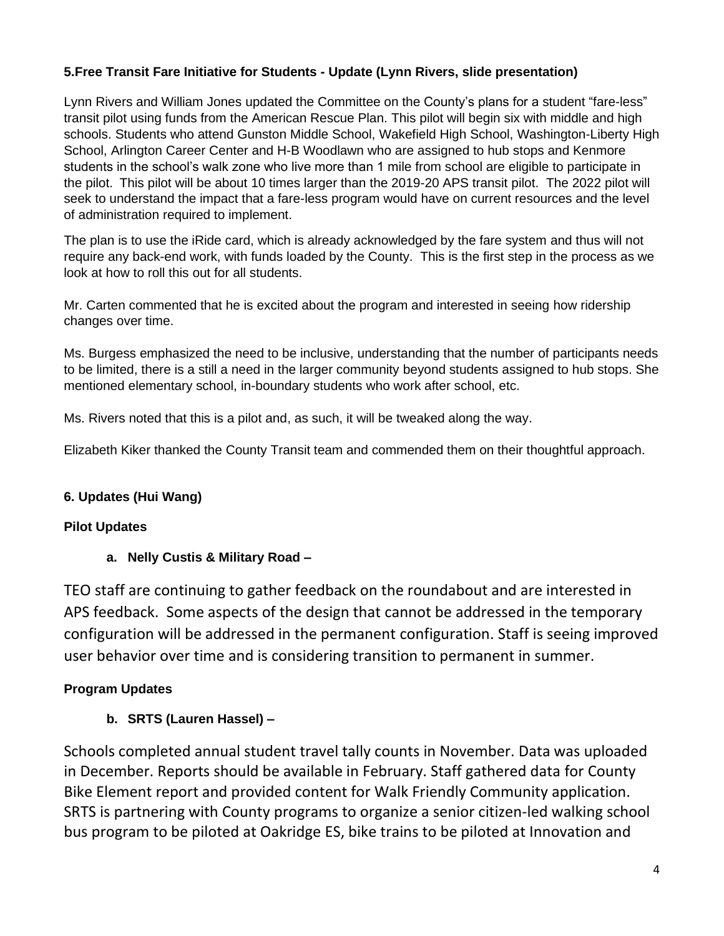## **5.Free Transit Fare Initiative for Students - Update (Lynn Rivers, slide presentation)**

Lynn Rivers and William Jones updated the Committee on the County's plans for a student "fare-less" transit pilot using funds from the American Rescue Plan. This pilot will begin six with middle and high schools. Students who attend Gunston Middle School, Wakefield High School, Washington-Liberty High School, Arlington Career Center and H-B Woodlawn who are assigned to hub stops and Kenmore students in the school's walk zone who live more than 1 mile from school are eligible to participate in the pilot. This pilot will be about 10 times larger than the 2019-20 APS transit pilot. The 2022 pilot will seek to understand the impact that a fare-less program would have on current resources and the level of administration required to implement.

The plan is to use the iRide card, which is already acknowledged by the fare system and thus will not require any back-end work, with funds loaded by the County. This is the first step in the process as we look at how to roll this out for all students.

Mr. Carten commented that he is excited about the program and interested in seeing how ridership changes over time.

Ms. Burgess emphasized the need to be inclusive, understanding that the number of participants needs to be limited, there is a still a need in the larger community beyond students assigned to hub stops. She mentioned elementary school, in-boundary students who work after school, etc.

Ms. Rivers noted that this is a pilot and, as such, it will be tweaked along the way.

Elizabeth Kiker thanked the County Transit team and commended them on their thoughtful approach.

## **6. Updates (Hui Wang)**

## **Pilot Updates**

## **a. Nelly Custis & Military Road –**

TEO staff are continuing to gather feedback on the roundabout and are interested in APS feedback. Some aspects of the design that cannot be addressed in the temporary configuration will be addressed in the permanent configuration. Staff is seeing improved user behavior over time and is considering transition to permanent in summer.

## **Program Updates**

## **b. SRTS (Lauren Hassel) –**

Schools completed annual student travel tally counts in November. Data was uploaded in December. Reports should be available in February. Staff gathered data for County Bike Element report and provided content for Walk Friendly Community application. SRTS is partnering with County programs to organize a senior citizen-led walking school bus program to be piloted at Oakridge ES, bike trains to be piloted at Innovation and